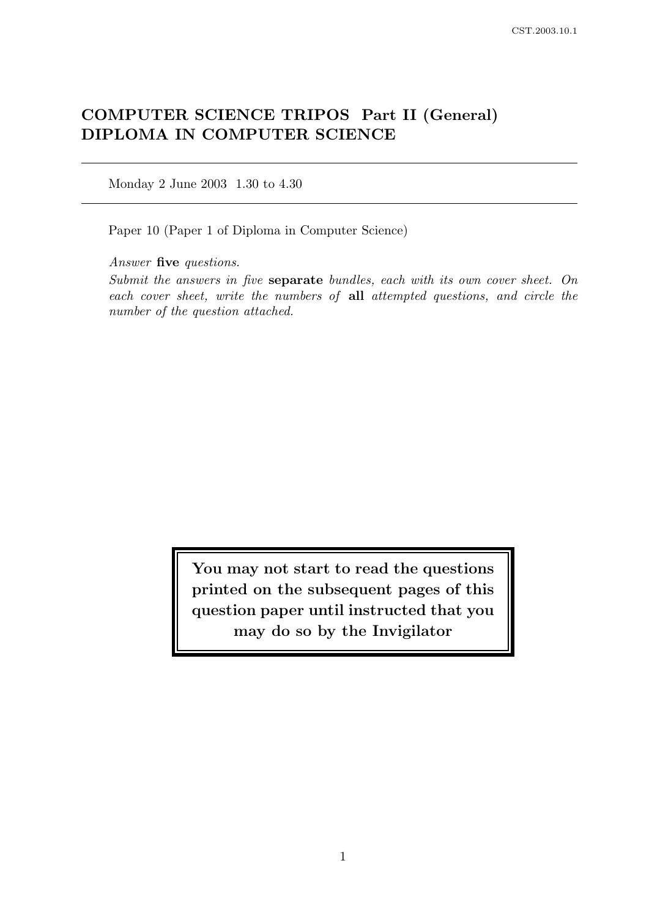# COMPUTER SCIENCE TRIPOS Part II (General) DIPLOMA IN COMPUTER SCIENCE

Monday 2 June 2003 1.30 to 4.30

Paper 10 (Paper 1 of Diploma in Computer Science)

Answer five questions.

Submit the answers in five separate bundles, each with its own cover sheet. On each cover sheet, write the numbers of all attempted questions, and circle the number of the question attached.

> You may not start to read the questions printed on the subsequent pages of this question paper until instructed that you may do so by the Invigilator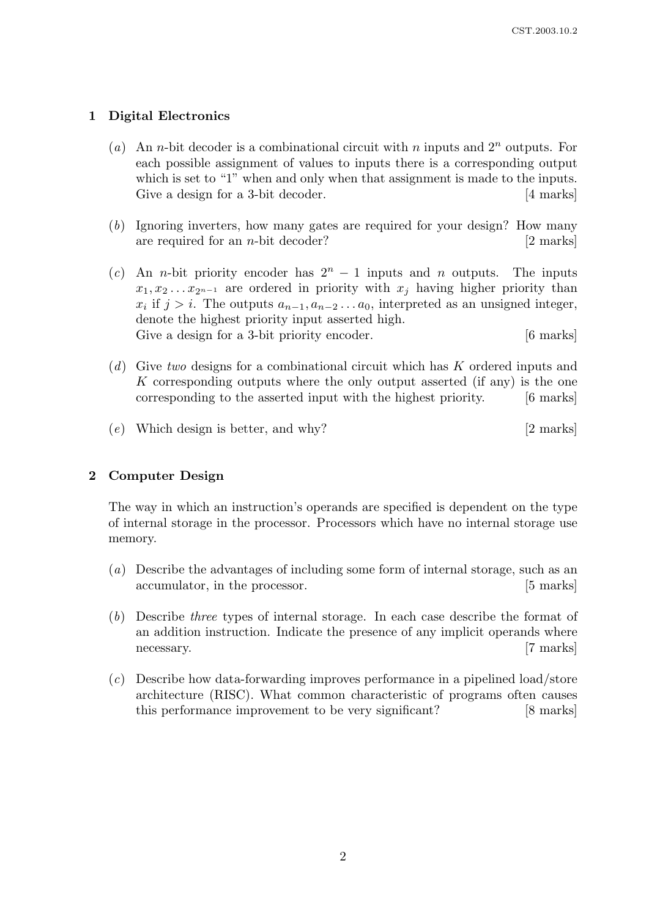# 1 Digital Electronics

- (a) An *n*-bit decoder is a combinational circuit with *n* inputs and  $2^n$  outputs. For each possible assignment of values to inputs there is a corresponding output which is set to "1" when and only when that assignment is made to the inputs. Give a design for a 3-bit decoder. [4 marks]
- (b) Ignoring inverters, how many gates are required for your design? How many are required for an *n*-bit decoder?  $|2 \text{ marks}|$
- (c) An n-bit priority encoder has  $2<sup>n</sup> 1$  inputs and n outputs. The inputs  $x_1, x_2 \ldots x_{2^{n-1}}$  are ordered in priority with  $x_j$  having higher priority than  $x_i$  if  $j > i$ . The outputs  $a_{n-1}, a_{n-2} \ldots a_0$ , interpreted as an unsigned integer, denote the highest priority input asserted high. Give a design for a 3-bit priority encoder. [6 marks]
- (d) Give two designs for a combinational circuit which has K ordered inputs and K corresponding outputs where the only output asserted (if any) is the one corresponding to the asserted input with the highest priority. [6 marks]
- (e) Which design is better, and why? [2 marks]

#### 2 Computer Design

The way in which an instruction's operands are specified is dependent on the type of internal storage in the processor. Processors which have no internal storage use memory.

- (a) Describe the advantages of including some form of internal storage, such as an accumulator, in the processor. [5 marks]
- (b) Describe three types of internal storage. In each case describe the format of an addition instruction. Indicate the presence of any implicit operands where necessary. [7 marks]
- (c) Describe how data-forwarding improves performance in a pipelined load/store architecture (RISC). What common characteristic of programs often causes this performance improvement to be very significant? [8 marks]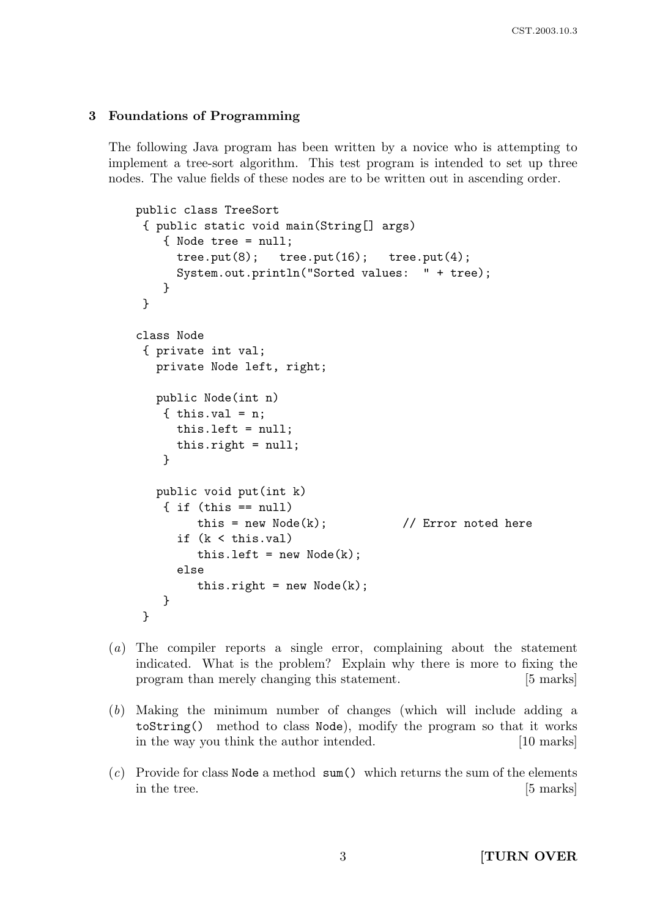# 3 Foundations of Programming

The following Java program has been written by a novice who is attempting to implement a tree-sort algorithm. This test program is intended to set up three nodes. The value fields of these nodes are to be written out in ascending order.

```
public class TreeSort
 { public static void main(String[] args)
    { Node tree = null;
      tree.put(8); tree.put(16); tree.put(4);
      System.out.println("Sorted values: " + tree);
    }
 }
class Node
 { private int val;
   private Node left, right;
   public Node(int n)
    \{ this.val = n;
      this.left = null;
      this.right = null;
    }
   public void put(int k)
    \{ if (this == null)this = new Node(k); \frac{1}{k} Error noted here
      if (k < this.val)
         this.left = new Node(k);
      else
         this.right = new Node(k);
    }
 }
```
- (a) The compiler reports a single error, complaining about the statement indicated. What is the problem? Explain why there is more to fixing the program than merely changing this statement. [5 marks]
- (b) Making the minimum number of changes (which will include adding a toString() method to class Node), modify the program so that it works in the way you think the author intended. [10 marks]
- $(c)$  Provide for class Node a method sum() which returns the sum of the elements in the tree. [5 marks]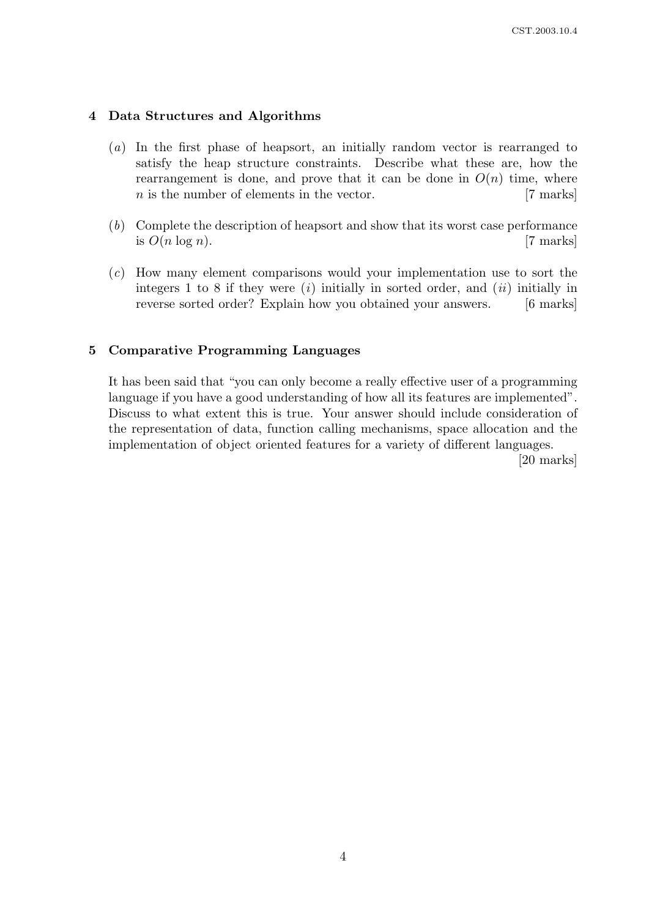## 4 Data Structures and Algorithms

- (a) In the first phase of heapsort, an initially random vector is rearranged to satisfy the heap structure constraints. Describe what these are, how the rearrangement is done, and prove that it can be done in  $O(n)$  time, where  $n$  is the number of elements in the vector. [7 marks]
- (b) Complete the description of heapsort and show that its worst case performance is  $O(n \log n)$ . [7 marks]
- (c) How many element comparisons would your implementation use to sort the integers 1 to 8 if they were  $(i)$  initially in sorted order, and  $(ii)$  initially in reverse sorted order? Explain how you obtained your answers. [6 marks]

# 5 Comparative Programming Languages

It has been said that "you can only become a really effective user of a programming language if you have a good understanding of how all its features are implemented". Discuss to what extent this is true. Your answer should include consideration of the representation of data, function calling mechanisms, space allocation and the implementation of object oriented features for a variety of different languages.

[20 marks]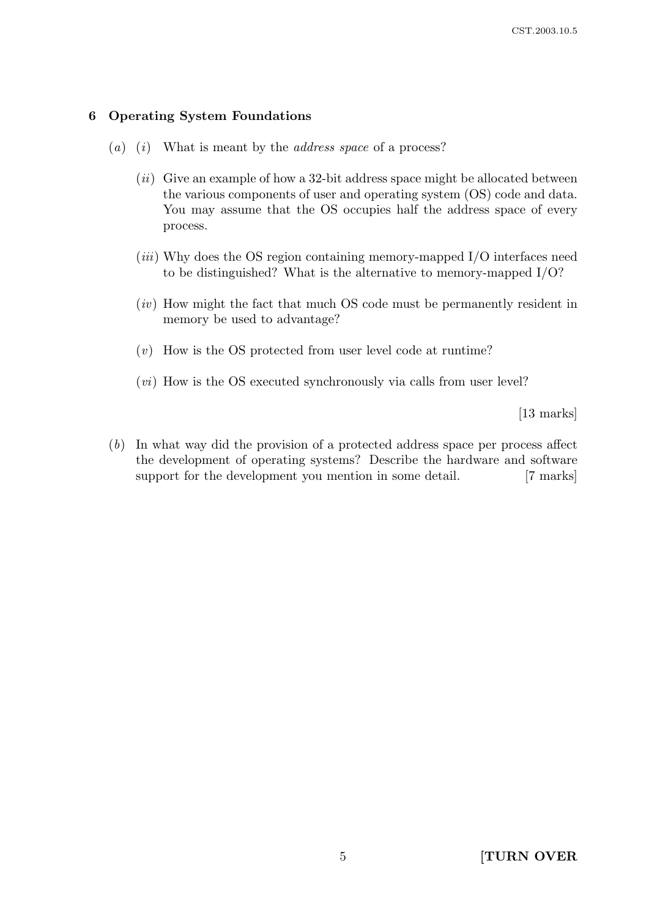# 6 Operating System Foundations

- (a) (i) What is meant by the *address space* of a process?
	- $(ii)$  Give an example of how a 32-bit address space might be allocated between the various components of user and operating system (OS) code and data. You may assume that the OS occupies half the address space of every process.
	- $(iii)$  Why does the OS region containing memory-mapped I/O interfaces need to be distinguished? What is the alternative to memory-mapped I/O?
	- (iv) How might the fact that much OS code must be permanently resident in memory be used to advantage?
	- (v) How is the OS protected from user level code at runtime?
	- $(vi)$  How is the OS executed synchronously via calls from user level?

[13 marks]

(b) In what way did the provision of a protected address space per process affect the development of operating systems? Describe the hardware and software support for the development you mention in some detail. [7 marks]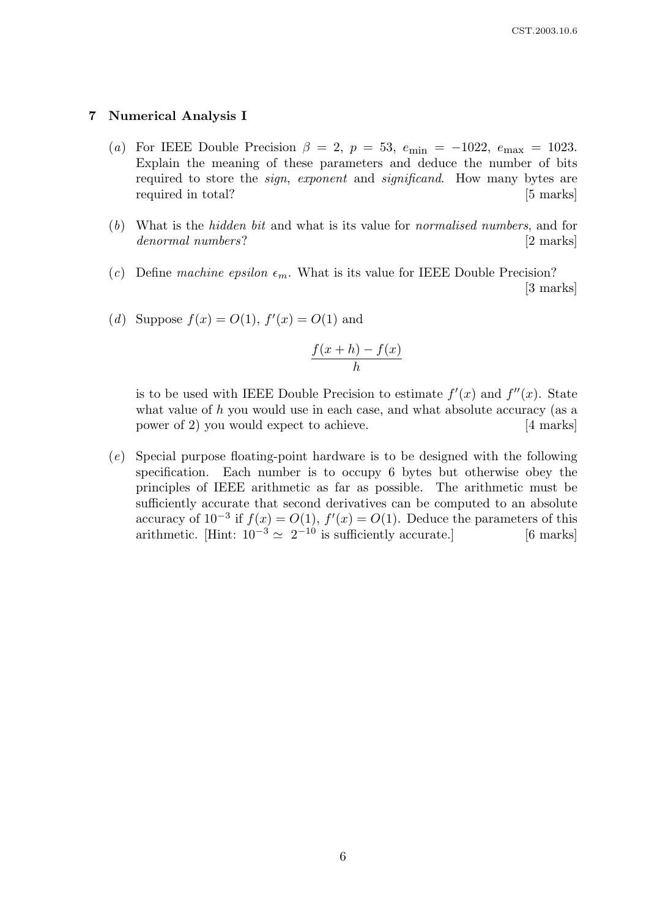#### 7 Numerical Analysis I

- (a) For IEEE Double Precision  $\beta = 2$ ,  $p = 53$ ,  $e_{\text{min}} = -1022$ ,  $e_{\text{max}} = 1023$ . Explain the meaning of these parameters and deduce the number of bits required to store the *sign, exponent* and *significand*. How many bytes are required in total? [5 marks]
- (b) What is the hidden bit and what is its value for normalised numbers, and for denormal numbers? [2 marks]
- (c) Define machine epsilon  $\epsilon_m$ . What is its value for IEEE Double Precision? [3 marks]
- (*d*) Suppose  $f(x) = O(1)$ ,  $f'(x) = O(1)$  and

$$
\frac{f(x+h) - f(x)}{h}
$$

is to be used with IEEE Double Precision to estimate  $f'(x)$  and  $f''(x)$ . State what value of  $h$  you would use in each case, and what absolute accuracy (as a power of 2) you would expect to achieve. [4 marks]

(e) Special purpose floating-point hardware is to be designed with the following specification. Each number is to occupy 6 bytes but otherwise obey the principles of IEEE arithmetic as far as possible. The arithmetic must be sufficiently accurate that second derivatives can be computed to an absolute accuracy of  $10^{-3}$  if  $f(x) = O(1)$ ,  $f'(x) = O(1)$ . Deduce the parameters of this arithmetic. [Hint:  $10^{-3} \simeq 2^{-10}$  is sufficiently accurate.] [6 marks]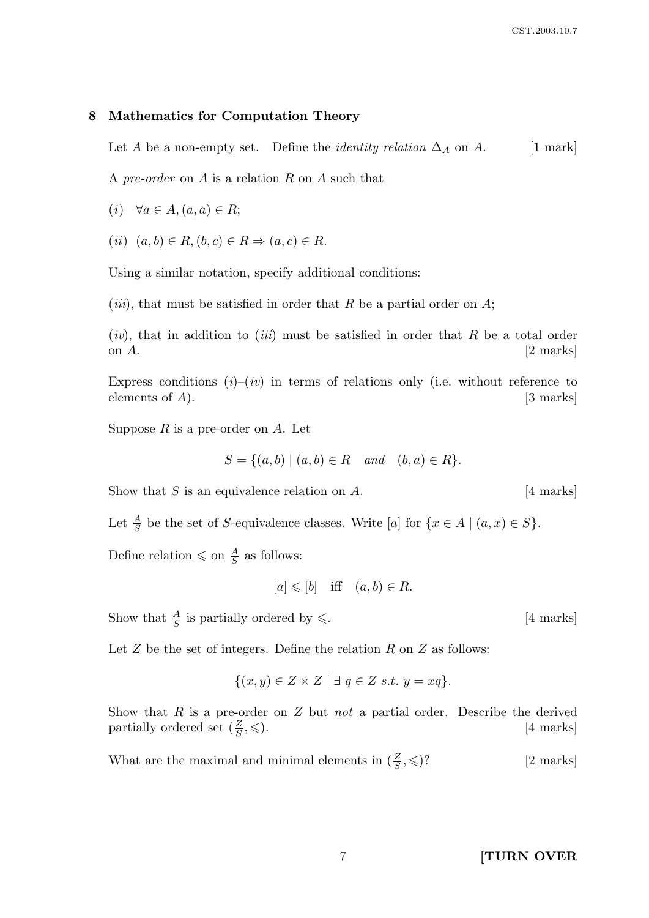## 8 Mathematics for Computation Theory

Let A be a non-empty set. Define the *identity relation*  $\Delta_A$  on A. [1 mark]

A pre-order on A is a relation R on A such that

(i)  $\forall a \in A, (a, a) \in R;$ 

(ii)  $(a, b) \in R$ ,  $(b, c) \in R \Rightarrow (a, c) \in R$ .

Using a similar notation, specify additional conditions:

(*iii*), that must be satisfied in order that R be a partial order on  $A$ ;

 $(iv)$ , that in addition to *(iii)* must be satisfied in order that R be a total order on  $A$ .  $[2 \text{ marks}]$ 

Express conditions  $(i)-(iv)$  in terms of relations only (i.e. without reference to elements of  $A$ ). [3 marks]

Suppose  $R$  is a pre-order on  $A$ . Let

$$
S = \{(a, b) \mid (a, b) \in R \text{ and } (b, a) \in R\}.
$$

Show that  $S$  is an equivalence relation on  $A$ . [4 marks]

Let  $\frac{A}{S}$  be the set of S-equivalence classes. Write [a] for  $\{x \in A \mid (a, x) \in S\}$ .

Define relation  $\leq$  on  $\frac{A}{S}$  as follows:

$$
[a] \leqslant [b] \quad \text{iff} \quad (a, b) \in R.
$$

Show that  $\frac{A}{S}$  is partially ordered by  $\leq$ . [4 marks]

Let  $Z$  be the set of integers. Define the relation  $R$  on  $Z$  as follows:

$$
\{(x,y)\in Z\times Z\mid \exists q\in Z\ s.t.\ y=xq\}.
$$

Show that  $R$  is a pre-order on  $Z$  but not a partial order. Describe the derived partially ordered set  $(\frac{Z}{S})$ [4 marks]

What are the maximal and minimal elements in  $(\frac{Z}{S})$ [2 marks]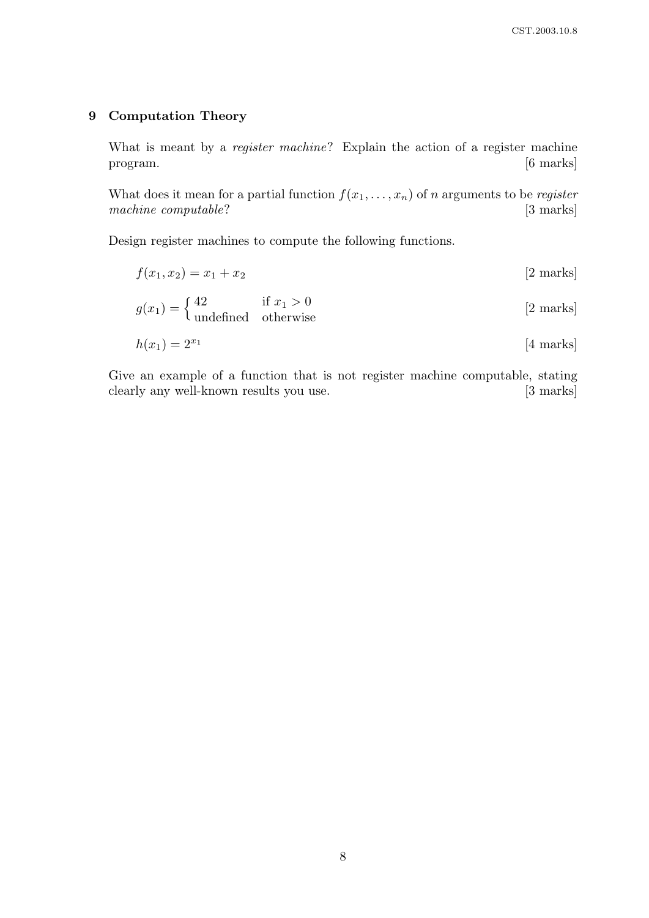## 9 Computation Theory

What is meant by a *register machine*? Explain the action of a register machine program. [6 marks]

What does it mean for a partial function  $f(x_1, \ldots, x_n)$  of n arguments to be register machine computable? [3 marks]

Design register machines to compute the following functions.

$$
f(x_1, x_2) = x_1 + x_2 \tag{2 marks}
$$

$$
g(x_1) = \begin{cases} 42 & \text{if } x_1 > 0\\ \text{undefined} & \text{otherwise} \end{cases}
$$
 [2 marks]

$$
h(x_1) = 2^{x_1} \tag{4 marks}
$$

Give an example of a function that is not register machine computable, stating clearly any well-known results you use. [3 marks]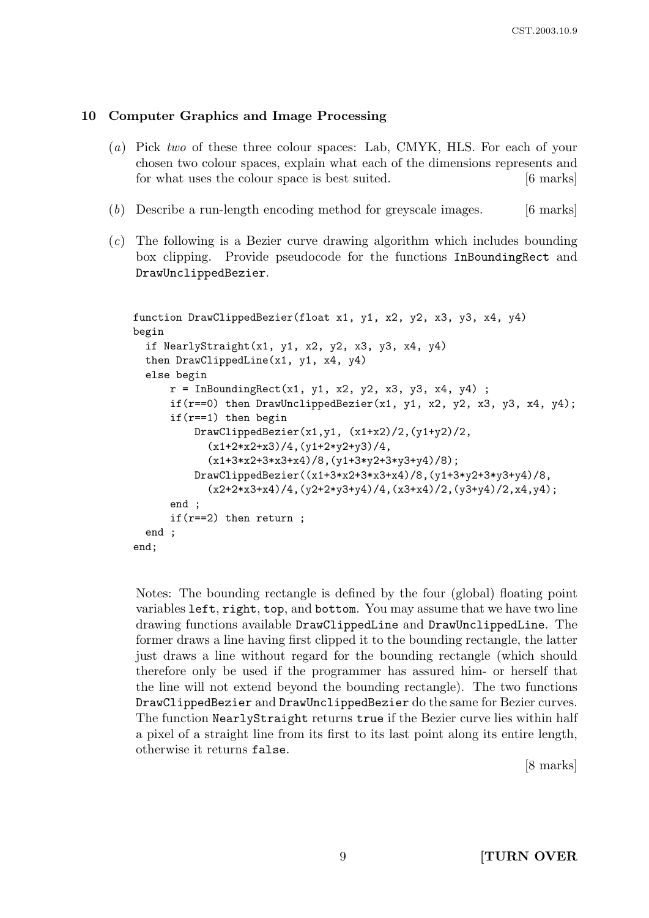## 10 Computer Graphics and Image Processing

- (a) Pick two of these three colour spaces: Lab, CMYK, HLS. For each of your chosen two colour spaces, explain what each of the dimensions represents and for what uses the colour space is best suited. [6 marks]
- (b) Describe a run-length encoding method for greyscale images. [6 marks]
- (c) The following is a Bezier curve drawing algorithm which includes bounding box clipping. Provide pseudocode for the functions InBoundingRect and DrawUnclippedBezier.

```
function DrawClippedBezier(float x1, y1, x2, y2, x3, y3, x4, y4)
begin
  if NearlyStraight(x1, y1, x2, y2, x3, y3, x4, y4)
  then DrawClippedLine(x1, y1, x4, y4)
  else begin
      r = InBoundingRect(x1, y1, x2, y2, x3, y3, x4, y4);
      if(r==0) then DrawUnclippedBezier(x1, y1, x2, y2, x3, y3, x4, y4);
      if(r==1) then begin
          DrawClippedBezier(x1,y1, (x1+x2)/2,(y1+y2)/2,
            (x1+2*x2+x3)/4,(y1+2*y2+y3)/4,
            (x1+3*x2+3*x3+x4)/8,(y1+3*y2+3*y3+y4)/8);
          DrawClippedBezier((x1+3*x2+3*x3+x4)/8,(y1+3*y2+3*y3+y4)/8,
            (x2+2*x3+x4)/4, (y2+2*y3+y4)/4, (x3+x4)/2, (y3+y4)/2, x4, y4);
      end ;
      if(r==2) then return ;
  end ;
end;
```
Notes: The bounding rectangle is defined by the four (global) floating point variables left, right, top, and bottom. You may assume that we have two line drawing functions available DrawClippedLine and DrawUnclippedLine. The former draws a line having first clipped it to the bounding rectangle, the latter just draws a line without regard for the bounding rectangle (which should therefore only be used if the programmer has assured him- or herself that the line will not extend beyond the bounding rectangle). The two functions DrawClippedBezier and DrawUnclippedBezier do the same for Bezier curves. The function NearlyStraight returns true if the Bezier curve lies within half a pixel of a straight line from its first to its last point along its entire length, otherwise it returns false.

[8 marks]